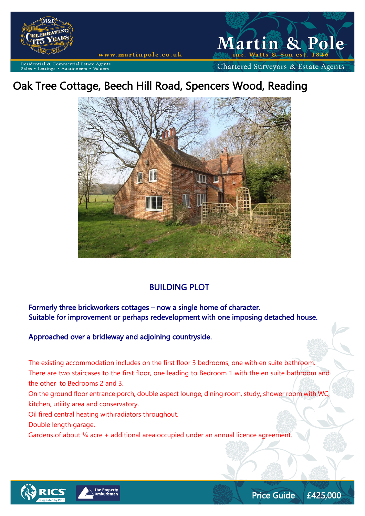

www.martinpole.co.uk



Commercial Estate Agents ettings • Auctioneers

# Oak Tree Cottage, Beech Hill Road, Spencers Wood, Reading



## BUILDING PLOT

Formerly three brickworkers cottages – now a single home of character. Suitable for improvement or perhaps redevelopment with one imposing detached house.

Approached over a bridleway and adjoining countryside.

The existing accommodation includes on the first floor 3 bedrooms, one with en suite bathroom. There are two staircases to the first floor, one leading to Bedroom 1 with the en suite bathroom and the other to Bedrooms 2 and 3.

On the ground floor entrance porch, double aspect lounge, dining room, study, shower room with WC, kitchen, utility area and conservatory.

Oil fired central heating with radiators throughout.

Double length garage.

Gardens of about 1/4 acre + additional area occupied under an annual licence agreement.



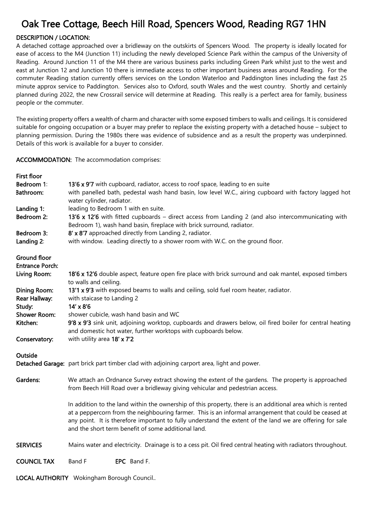## Oak Tree Cottage, Beech Hill Road, Spencers Wood, Reading RG7 1HN

### DESCRIPTION / LOCATION:

A detached cottage approached over a bridleway on the outskirts of Spencers Wood. The property is ideally located for ease of access to the M4 (Junction 11) including the newly developed Science Park within the campus of the University of Reading. Around Junction 11 of the M4 there are various business parks including Green Park whilst just to the west and east at Junction 12 and Junction 10 there is immediate access to other important business areas around Reading. For the commuter Reading station currently offers services on the London Waterloo and Paddington lines including the fast 25 minute approx service to Paddington. Services also to Oxford, south Wales and the west country. Shortly and certainly planned during 2022, the new Crossrail service will determine at Reading. This really is a perfect area for family, business people or the commuter.

The existing property offers a wealth of charm and character with some exposed timbers to walls and ceilings. It is considered suitable for ongoing occupation or a buyer may prefer to replace the existing property with a detached house – subject to planning permission. During the 1980s there was evidence of subsidence and as a result the property was underpinned. Details of this work is available for a buyer to consider.

### ACCOMMODATION: The accommodation comprises:

LOCAL AUTHORITY Wokingham Borough Council..

| First floor            |                                                                                                                                                                                                                                                                                                                                                                                        |
|------------------------|----------------------------------------------------------------------------------------------------------------------------------------------------------------------------------------------------------------------------------------------------------------------------------------------------------------------------------------------------------------------------------------|
| Bedroom 1:             | 13'6 x 9'7 with cupboard, radiator, access to roof space, leading to en suite                                                                                                                                                                                                                                                                                                          |
| Bathroom:              | with panelled bath, pedestal wash hand basin, low level W.C., airing cupboard with factory lagged hot<br>water cylinder, radiator.                                                                                                                                                                                                                                                     |
| Landing 1:             | leading to Bedroom 1 with en suite.                                                                                                                                                                                                                                                                                                                                                    |
| Bedroom 2:             | 13'6 x 12'6 with fitted cupboards - direct access from Landing 2 (and also intercommunicating with<br>Bedroom 1), wash hand basin, fireplace with brick surround, radiator.                                                                                                                                                                                                            |
| Bedroom 3:             | 8' x 8'7 approached directly from Landing 2, radiator.                                                                                                                                                                                                                                                                                                                                 |
| Landing 2:             | with window. Leading directly to a shower room with W.C. on the ground floor.                                                                                                                                                                                                                                                                                                          |
| <b>Ground floor</b>    |                                                                                                                                                                                                                                                                                                                                                                                        |
| <b>Entrance Porch:</b> |                                                                                                                                                                                                                                                                                                                                                                                        |
| Living Room:           | 18'6 x 12'6 double aspect, feature open fire place with brick surround and oak mantel, exposed timbers<br>to walls and ceiling.                                                                                                                                                                                                                                                        |
| <b>Dining Room:</b>    | 13'1 x 9'3 with exposed beams to walls and ceiling, sold fuel room heater, radiator.                                                                                                                                                                                                                                                                                                   |
| Rear Hallway:          | with staicase to Landing 2                                                                                                                                                                                                                                                                                                                                                             |
| Study:                 | $14' \times 8'6$                                                                                                                                                                                                                                                                                                                                                                       |
| <b>Shower Room:</b>    | shower cubicle, wash hand basin and WC                                                                                                                                                                                                                                                                                                                                                 |
| Kitchen:               | 9'8 x 9'3 sink unit, adjoining worktop, cupboards and drawers below, oil fired boiler for central heating<br>and domestic hot water, further worktops with cupboards below.                                                                                                                                                                                                            |
| Conservatory:          | with utility area 18' x 7'2                                                                                                                                                                                                                                                                                                                                                            |
| Outside                |                                                                                                                                                                                                                                                                                                                                                                                        |
|                        | Detached Garage: part brick part timber clad with adjoining carport area, light and power.                                                                                                                                                                                                                                                                                             |
| Gardens:               | We attach an Ordnance Survey extract showing the extent of the gardens. The property is approached<br>from Beech Hill Road over a bridleway giving vehicular and pedestrian access.                                                                                                                                                                                                    |
|                        | In addition to the land within the ownership of this property, there is an additional area which is rented<br>at a peppercorn from the neighbouring farmer. This is an informal arrangement that could be ceased at<br>any point. It is therefore important to fully understand the extent of the land we are offering for sale<br>and the short term benefit of some additional land. |
| <b>SERVICES</b>        | Mains water and electricity. Drainage is to a cess pit. Oil fired central heating with radiators throughout.                                                                                                                                                                                                                                                                           |
| <b>COUNCIL TAX</b>     | Band F<br>EPC Band F.                                                                                                                                                                                                                                                                                                                                                                  |
|                        |                                                                                                                                                                                                                                                                                                                                                                                        |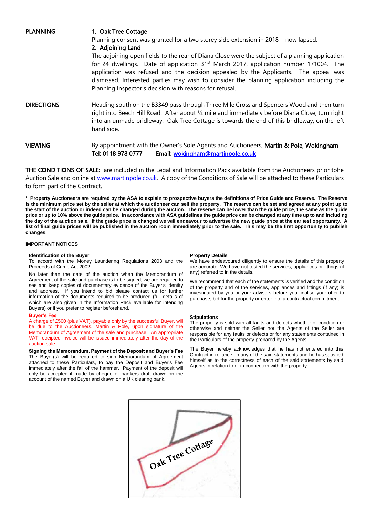PLANNING 1. Oak Tree Cottage

Planning consent was granted for a two storey side extension in 2018 – now lapsed.

2. Adjoining Land

The adjoining open fields to the rear of Diana Close were the subject of a planning application for 24 dwellings. Date of application  $31<sup>st</sup>$  March 2017, application number 171004. The application was refused and the decision appealed by the Applicants. The appeal was dismissed. Interested parties may wish to consider the planning application including the Planning Inspector's decision with reasons for refusal.

- DIRECTIONS Heading south on the B3349 pass through Three Mile Cross and Spencers Wood and then turn right into Beech Hill Road. After about ¼ mile and immediately before Diana Close, turn right into an unmade bridleway. Oak Tree Cottage is towards the end of this bridleway, on the left hand side.
- VIEWING By appointment with the Owner's Sole Agents and Auctioneers, Martin & Pole, Wokingham Tel: 0118 978 0777 Email: [wokingham@martinpole.co.uk](mailto:wokingham@martinpole.co.uk)

THE CONDITIONS OF SALE: are included in the Legal and Information Pack available from the Auctioneers prior tohe Auction Sale and online at [www.martinpole.co.uk.](http://www.martinpole.co.uk/) A copy of the Conditions of Sale will be attached to these Particulars to form part of the Contract.

**\* Property Auctioneers are required by the ASA to explain to prospective buyers the definitions of Price Guide and Reserve. The Reserve is the minimum price set by the seller at which the auctioneer can sell the property. The reserve can be set and agreed at any point up to the start of the auction or indeed can be changed during the auction. The reserve can be lower than the guide price, the same as the guide price or up to 10% above the guide price. In accordance with ASA guidelines the guide price can be changed at any time up to and including the day of the auction sale. If the guide price is changed we will endeavour to advertise the new guide price at the earliest opportunity. A list of final guide prices will be published in the auction room immediately prior to the sale. This may be the first opportunity to publish changes.**

#### **IMPORTANT NOTICES**

#### **Identification of the Buyer**

To accord with the Money Laundering Regulations 2003 and the Proceeds of Crime Act 2002:

No later than the date of the auction when the Memorandum of Agreement of the sale and purchase is to be signed, we are required to see and keep copies of documentary evidence of the Buyer's identity and address. If you intend to bid please contact us for further information of the documents required to be produced (full details of which are also given in the Information Pack available for intending Buyers) or if you prefer to register beforehand.

#### **Buyer's Fee**

A charge of £500 (plus VAT), payable only by the successful Buyer, will be due to the Auctioneers, Martin & Pole, upon signature of the Memorandum of Agreement of the sale and purchase. An appropriate VAT receipted invoice will be issued immediately after the day of the auction sale

**Signing the Memorandum, Payment of the Deposit and Buyer's Fee** The Buyer(s) will be required to sign Memorandum of Agreement attached to these Particulars, to pay the Deposit and Buyer's Fee immediately after the fall of the hammer. Payment of the deposit will only be accepted if made by cheque or bankers draft drawn on the account of the named Buyer and drawn on a UK clearing bank.

#### **Property Details**

We have endeavoured diligently to ensure the details of this property are accurate. We have not tested the services, appliances or fittings (if any) referred to in the details.

We recommend that each of the statements is verified and the condition of the property and of the services, appliances and fittings (if any) is investigated by you or your advisers before you finalise your offer to purchase, bid for the property or enter into a contractual commitment.

#### **Stipulations**

The property is sold with all faults and defects whether of condition or otherwise and neither the Seller nor the Agents of the Seller are responsible for any faults or defects or for any statements contained in the Particulars of the property prepared by the Agents.

The Buyer hereby acknowledges that he has not entered into this Contract in reliance on any of the said statements and he has satisfied himself as to the correctness of each of the said statements by said Agents in relation to or in connection with the property.